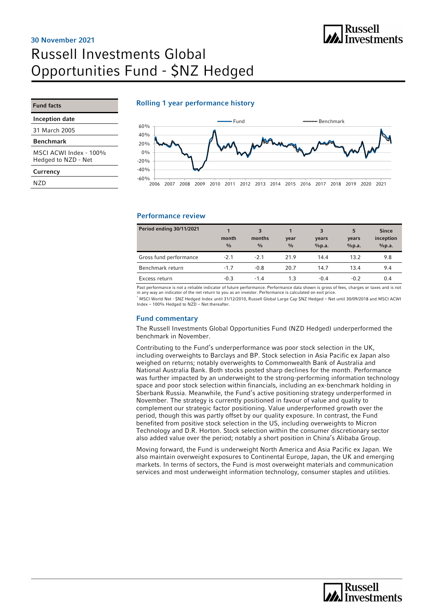## **Russell** nussen<br>Investments

# Russell Investments Global Opportunities Fund - \$NZ Hedged 30 November 2021

### Rolling 1 year performance history

# Fund facts

Inception date

31 March 2005

#### Benchmark

MSCI ACWI Index - 100% Hedged to NZD - Net

#### **Currency**

N<sub>7</sub>D



### Performance review

| Period ending 30/11/2021 | month<br>$\frac{0}{0}$ | 3<br>months<br>$\frac{0}{0}$ | year<br>$\frac{0}{0}$ | 3<br>years<br>%p.a. | 5<br>years<br>%p.a. | <b>Since</b><br>inception<br>%p.a. |
|--------------------------|------------------------|------------------------------|-----------------------|---------------------|---------------------|------------------------------------|
| Gross fund performance   | $-2.1$                 | $-2.1$                       | 21.9                  | 14.4                | 13.2                | 9.8                                |
| Benchmark return         | $-1.7$                 | $-0.8$                       | 20.7                  | 14.7                | 13.4                | 9.4                                |
| Excess return            | $-0.3$                 | $-1.4$                       | 1.3                   | $-0.4$              | $-0.2$              | 0.4                                |

Past performance is not a reliable indicator of future performance. Performance data shown is gross of fees, charges or taxes and is not<br>in any way an indicator of the net return to you as an investor. Performance is calcu \* MSCI World Net - \$NZ Hedged Index until 31/12/2010, Russell Global Large Cap \$NZ Hedged – Net until 30/09/2018 and MSCI ACWI Index – 100% Hedged to NZD – Net thereafter.

### Fund commentary

The Russell Investments Global Opportunities Fund (NZD Hedged) underperformed the benchmark in November.

Contributing to the Fund's underperformance was poor stock selection in the UK, including overweights to Barclays and BP. Stock selection in Asia Pacific ex Japan also weighed on returns; notably overweights to Commonwealth Bank of Australia and National Australia Bank. Both stocks posted sharp declines for the month. Performance was further impacted by an underweight to the strong-performing information technology space and poor stock selection within financials, including an ex-benchmark holding in Sberbank Russia. Meanwhile, the Fund's active positioning strategy underperformed in November. The strategy is currently positioned in favour of value and quality to complement our strategic factor positioning. Value underperformed growth over the period, though this was partly offset by our quality exposure. In contrast, the Fund benefited from positive stock selection in the US, including overweights to Micron Technology and D.R. Horton. Stock selection within the consumer discretionary sector also added value over the period; notably a short position in China's Alibaba Group.

Moving forward, the Fund is underweight North America and Asia Pacific ex Japan. We also maintain overweight exposures to Continental Europe, Japan, the UK and emerging markets. In terms of sectors, the Fund is most overweight materials and communication services and most underweight information technology, consumer staples and utilities.

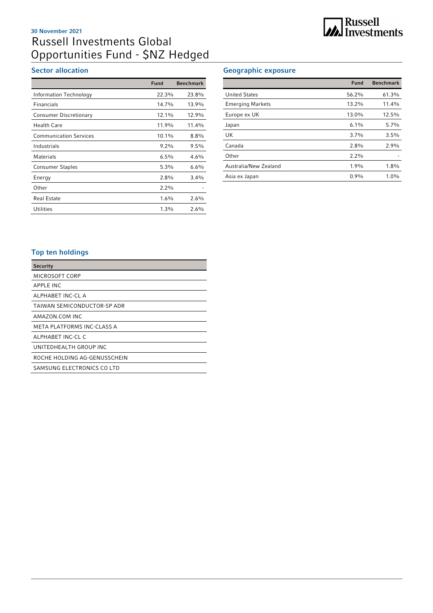## Russell Investments Global Opportunities Fund - \$NZ Hedged 30 November 2021

### Sector allocation

|                               | Fund    | <b>Benchmark</b> |
|-------------------------------|---------|------------------|
| Information Technology        | 22.3%   | 23.8%            |
| <b>Financials</b>             | 14.7%   | 13.9%            |
| <b>Consumer Discretionary</b> | 12.1%   | 12.9%            |
| <b>Health Care</b>            | 11.9%   | 11.4%            |
| <b>Communication Services</b> | 10.1%   | $8.8\%$          |
| Industrials                   | $9.2\%$ | $9.5\%$          |
| <b>Materials</b>              | $6.5\%$ | 4.6%             |
| <b>Consumer Staples</b>       | $5.3\%$ | $6.6\%$          |
| Energy                        | $2.8\%$ | $3.4\%$          |
| Other                         | $2.2\%$ |                  |
| <b>Real Estate</b>            | $1.6\%$ | 2.6%             |
| <b>Utilities</b>              | $1.3\%$ | 2.6%             |

### Geographic exposure

|                         | Fund     | <b>Benchmark</b> |
|-------------------------|----------|------------------|
| <b>United States</b>    | 56.2%    | 61.3%            |
| <b>Emerging Markets</b> | $13.2\%$ | 11.4%            |
| Europe ex UK            | 13.0%    | 12.5%            |
| Japan                   | $6.1\%$  | 5.7%             |
| UK                      | $3.7\%$  | 3.5%             |
| Canada                  | $2.8\%$  | 2.9%             |
| Other                   | $2.2\%$  |                  |
| Australia/New Zealand   | 1.9%     | 1.8%             |
| Asia ex Japan           | 0.9%     | 1.0%             |

### Top ten holdings

| <b>Security</b>              |
|------------------------------|
| MICROSOFT CORP               |
| <b>APPLE INC</b>             |
| ALPHABET INC-CL A            |
| TAIWAN SEMICONDUCTOR-SP ADR  |
| AMAZON COM INC               |
| META PLATFORMS INC-CLASS A   |
| ALPHABET INC-CL C            |
| UNITEDHEALTH GROUP INC       |
| ROCHE HOLDING AG-GENUSSCHEIN |
| SAMSUNG ELECTRONICS CO LTD   |